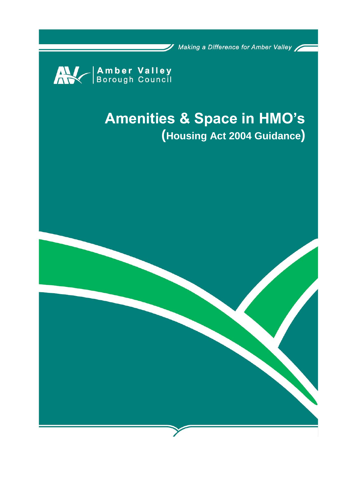/ Making a Difference for Amber Valley



# **Amenities & Space in HMO's (Housing Act 2004 Guidance)**

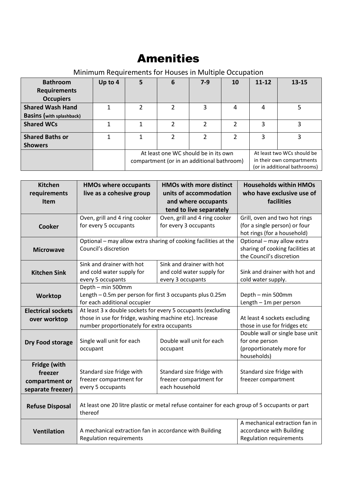## Amenities

### Minimum Requirements for Houses in Multiple Occupation

| <b>Bathroom</b><br><b>Requirements</b><br><b>Occupiers</b> | Up to 4 | 5                                                                                  | 6 | $7-9$         | 10                                                                                      | $11 - 12$ | $13 - 15$ |
|------------------------------------------------------------|---------|------------------------------------------------------------------------------------|---|---------------|-----------------------------------------------------------------------------------------|-----------|-----------|
| <b>Shared Wash Hand</b>                                    |         | 2                                                                                  | 2 | 3             | 4                                                                                       | 4         |           |
| <b>Basins (with splashback)</b>                            |         |                                                                                    |   |               |                                                                                         |           |           |
| <b>Shared WCs</b>                                          |         |                                                                                    | 2 | 2             | 2                                                                                       | 3         | 3         |
| <b>Shared Baths or</b>                                     |         |                                                                                    | 2 | $\mathcal{P}$ | 2                                                                                       | 3         | 3         |
| <b>Showers</b>                                             |         |                                                                                    |   |               |                                                                                         |           |           |
|                                                            |         | At least one WC should be in its own<br>compartment (or in an additional bathroom) |   |               | At least two WCs should be<br>in their own compartments<br>(or in additional bathrooms) |           |           |

| <b>Kitchen</b>            | <b>HMOs where occupants</b>                                  | <b>HMOs with more distinct</b>                                                                | <b>Households within HMOs</b>    |  |
|---------------------------|--------------------------------------------------------------|-----------------------------------------------------------------------------------------------|----------------------------------|--|
| requirements              | live as a cohesive group                                     | units of accommodation                                                                        | who have exclusive use of        |  |
| <b>Item</b>               |                                                              | and where occupants                                                                           | facilities                       |  |
|                           |                                                              | tend to live separately                                                                       |                                  |  |
|                           | Oven, grill and 4 ring cooker                                | Oven, grill and 4 ring cooker                                                                 | Grill, oven and two hot rings    |  |
| <b>Cooker</b>             | for every 5 occupants                                        | for every 3 occupants                                                                         | (for a single person) or four    |  |
|                           |                                                              |                                                                                               | hot rings (for a household)      |  |
|                           |                                                              | Optional - may allow extra sharing of cooking facilities at the                               | Optional - may allow extra       |  |
| <b>Microwave</b>          | Council's discretion                                         |                                                                                               | sharing of cooking facilities at |  |
|                           |                                                              |                                                                                               | the Council's discretion         |  |
|                           | Sink and drainer with hot                                    | Sink and drainer with hot                                                                     |                                  |  |
| <b>Kitchen Sink</b>       | and cold water supply for                                    | and cold water supply for                                                                     | Sink and drainer with hot and    |  |
|                           | every 5 occupants                                            | every 3 occupants                                                                             | cold water supply.               |  |
|                           | Depth - min 500mm                                            |                                                                                               |                                  |  |
| Worktop                   | Length - 0.5m per person for first 3 occupants plus 0.25m    | Depth - min 500mm                                                                             |                                  |  |
|                           | for each additional occupier                                 |                                                                                               | Length $-1m$ per person          |  |
| <b>Electrical sockets</b> | At least 3 x double sockets for every 5 occupants (excluding |                                                                                               |                                  |  |
| over worktop              | those in use for fridge, washing machine etc). Increase      | At least 4 sockets excluding                                                                  |                                  |  |
|                           | number proportionately for extra occupants                   | those in use for fridges etc                                                                  |                                  |  |
|                           |                                                              |                                                                                               | Double wall or single base unit  |  |
| Dry Food storage          | Single wall unit for each                                    | Double wall unit for each                                                                     | for one person                   |  |
|                           | occupant                                                     | occupant                                                                                      | (proportionately more for        |  |
|                           |                                                              |                                                                                               | households)                      |  |
| Fridge (with              |                                                              |                                                                                               |                                  |  |
| freezer                   | Standard size fridge with                                    | Standard size fridge with                                                                     | Standard size fridge with        |  |
| compartment or            | freezer compartment for                                      | freezer compartment for                                                                       | freezer compartment              |  |
| separate freezer)         | every 5 occupants                                            | each household                                                                                |                                  |  |
|                           |                                                              |                                                                                               |                                  |  |
| <b>Refuse Disposal</b>    |                                                              | At least one 20 litre plastic or metal refuse container for each group of 5 occupants or part |                                  |  |
|                           | thereof                                                      |                                                                                               |                                  |  |
|                           |                                                              |                                                                                               | A mechanical extraction fan in   |  |
| <b>Ventilation</b>        | A mechanical extraction fan in accordance with Building      |                                                                                               | accordance with Building         |  |
|                           | <b>Regulation requirements</b>                               |                                                                                               | <b>Regulation requirements</b>   |  |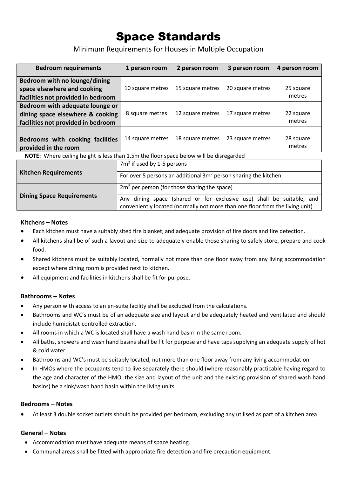# Space Standards

Minimum Requirements for Houses in Multiple Occupation

| <b>Bedroom requirements</b>                                                                               | 1 person room                                                      | 2 person room    | 3 person room    | 4 person room       |  |
|-----------------------------------------------------------------------------------------------------------|--------------------------------------------------------------------|------------------|------------------|---------------------|--|
| Bedroom with no lounge/dining<br>space elsewhere and cooking<br>facilities not provided in bedroom        | 10 square metres                                                   | 15 square metres | 20 square metres | 25 square<br>metres |  |
| Bedroom with adequate lounge or<br>dining space elsewhere & cooking<br>facilities not provided in bedroom | 8 square metres                                                    | 12 square metres | 17 square metres | 22 square<br>metres |  |
| Bedrooms with cooking facilities<br>provided in the room                                                  | 14 square metres                                                   | 18 square metres | 23 square metres | 28 square<br>metres |  |
| <b>NOTE:</b> Where ceiling height is less than 1.5m the floor space below will be disregarded             |                                                                    |                  |                  |                     |  |
|                                                                                                           | $7m2$ if used by 1-5 persons                                       |                  |                  |                     |  |
| <b>Kitchen Requirements</b>                                                                               | For over 5 nersons an additional $3m^2$ nerson sharing the kitchen |                  |                  |                     |  |

| Kitchen Reguirements             | For over 5 persons an additional $3m2$ person sharing the kitchen                                                                                     |  |  |
|----------------------------------|-------------------------------------------------------------------------------------------------------------------------------------------------------|--|--|
|                                  | $2m2$ per person (for those sharing the space)                                                                                                        |  |  |
| <b>Dining Space Requirements</b> | Any dining space (shared or for exclusive use) shall be suitable, and<br>conveniently located (normally not more than one floor from the living unit) |  |  |

#### **Kitchens – Notes**

- Each kitchen must have a suitably sited fire blanket, and adequate provision of fire doors and fire detection.
- All kitchens shall be of such a layout and size to adequately enable those sharing to safely store, prepare and cook food.
- Shared kitchens must be suitably located, normally not more than one floor away from any living accommodation except where dining room is provided next to kitchen.
- All equipment and facilities in kitchens shall be fit for purpose.

#### **Bathrooms – Notes**

- Any person with access to an en-suite facility shall be excluded from the calculations.
- Bathrooms and WC's must be of an adequate size and layout and be adequately heated and ventilated and should include humidistat-controlled extraction.
- All rooms in which a WC is located shall have a wash hand basin in the same room.
- All baths, showers and wash hand basins shall be fit for purpose and have taps supplying an adequate supply of hot & cold water.
- Bathrooms and WC's must be suitably located, not more than one floor away from any living accommodation.
- In HMOs where the occupants tend to live separately there should (where reasonably practicable having regard to the age and character of the HMO, the size and layout of the unit and the existing provision of shared wash hand basins) be a sink/wash hand basin within the living units.

#### **Bedrooms – Notes**

• At least 3 double socket outlets should be provided per bedroom, excluding any utilised as part of a kitchen area

#### **General – Notes**

- Accommodation must have adequate means of space heating.
- Communal areas shall be fitted with appropriate fire detection and fire precaution equipment.